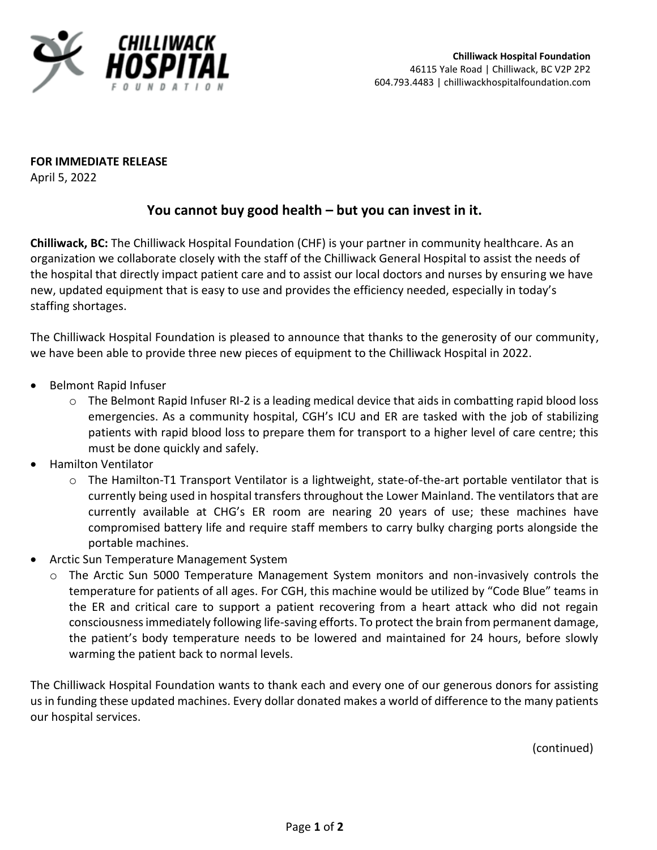

**FOR IMMEDIATE RELEASE**

April 5, 2022

## **You cannot buy good health – but you can invest in it.**

**Chilliwack, BC:** The Chilliwack Hospital Foundation (CHF) is your partner in community healthcare. As an organization we collaborate closely with the staff of the Chilliwack General Hospital to assist the needs of the hospital that directly impact patient care and to assist our local doctors and nurses by ensuring we have new, updated equipment that is easy to use and provides the efficiency needed, especially in today's staffing shortages.

The Chilliwack Hospital Foundation is pleased to announce that thanks to the generosity of our community, we have been able to provide three new pieces of equipment to the Chilliwack Hospital in 2022.

- Belmont Rapid Infuser
	- o The Belmont Rapid Infuser RI-2 is a leading medical device that aids in combatting rapid blood loss emergencies. As a community hospital, CGH's ICU and ER are tasked with the job of stabilizing patients with rapid blood loss to prepare them for transport to a higher level of care centre; this must be done quickly and safely.
- Hamilton Ventilator
	- o The Hamilton-T1 Transport Ventilator is a lightweight, state-of-the-art portable ventilator that is currently being used in hospital transfers throughout the Lower Mainland. The ventilators that are currently available at CHG's ER room are nearing 20 years of use; these machines have compromised battery life and require staff members to carry bulky charging ports alongside the portable machines.
- Arctic Sun Temperature Management System
	- o The Arctic Sun 5000 Temperature Management System monitors and non-invasively controls the temperature for patients of all ages. For CGH, this machine would be utilized by "Code Blue" teams in the ER and critical care to support a patient recovering from a heart attack who did not regain consciousness immediately following life-saving efforts. To protect the brain from permanent damage, the patient's body temperature needs to be lowered and maintained for 24 hours, before slowly warming the patient back to normal levels.

The Chilliwack Hospital Foundation wants to thank each and every one of our generous donors for assisting us in funding these updated machines. Every dollar donated makes a world of difference to the many patients our hospital services.

(continued)